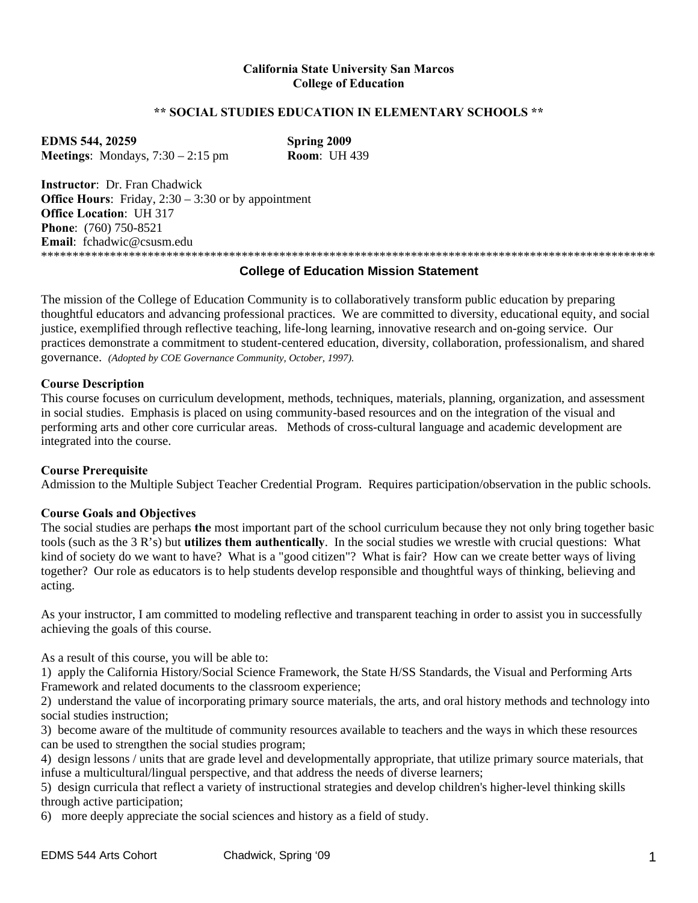# **California State University San Marcos College of Education**

# **\*\* SOCIAL STUDIES EDUCATION IN ELEMENTARY SCHOOLS \*\***

**EDMS 544, 20259 Spring 2009 Meetings**: Mondays, 7:30 – 2:15 pm **Room**: UH 439

**Instructor**: Dr. Fran Chadwick **Office Hours:** Friday, 2:30 – 3:30 or by appointment **Office Location**: UH 317 **Phone**: (760) 750-8521 **Email**: fchadwic@csusm.edu \*\*\*\*\*\*\*\*\*\*\*\*\*\*\*\*\*\*\*\*\*\*\*\*\*\*\*\*\*\*\*\*\*\*\*\*\*\*\*\*\*\*\*\*\*\*\*\*\*\*\*\*\*\*\*\*\*\*\*\*\*\*\*\*\*\*\*\*\*\*\*\*\*\*\*\*\*\*\*\*\*\*\*\*\*\*\*\*\*\*\*\*\*\*\*\*\*\*

# **College of Education Mission Statement**

The mission of the College of Education Community is to collaboratively transform public education by preparing thoughtful educators and advancing professional practices. We are committed to diversity, educational equity, and social justice, exemplified through reflective teaching, life-long learning, innovative research and on-going service. Our practices demonstrate a commitment to student-centered education, diversity, collaboration, professionalism, and shared governance. *(Adopted by COE Governance Community, October, 1997).* 

## **Course Description**

This course focuses on curriculum development, methods, techniques, materials, planning, organization, and assessment in social studies. Emphasis is placed on using community-based resources and on the integration of the visual and performing arts and other core curricular areas. Methods of cross-cultural language and academic development are integrated into the course.

## **Course Prerequisite**

Admission to the Multiple Subject Teacher Credential Program. Requires participation/observation in the public schools.

# **Course Goals and Objectives**

The social studies are perhaps **the** most important part of the school curriculum because they not only bring together basic tools (such as the 3 R's) but **utilizes them authentically**. In the social studies we wrestle with crucial questions: What kind of society do we want to have? What is a "good citizen"? What is fair? How can we create better ways of living together? Our role as educators is to help students develop responsible and thoughtful ways of thinking, believing and acting.

As your instructor, I am committed to modeling reflective and transparent teaching in order to assist you in successfully achieving the goals of this course.

As a result of this course, you will be able to:

1) apply the California History/Social Science Framework, the State H/SS Standards, the Visual and Performing Arts Framework and related documents to the classroom experience;

2) understand the value of incorporating primary source materials, the arts, and oral history methods and technology into social studies instruction;

3) become aware of the multitude of community resources available to teachers and the ways in which these resources can be used to strengthen the social studies program;

4) design lessons / units that are grade level and developmentally appropriate, that utilize primary source materials, that infuse a multicultural/lingual perspective, and that address the needs of diverse learners;

5) design curricula that reflect a variety of instructional strategies and develop children's higher-level thinking skills through active participation;

6) more deeply appreciate the social sciences and history as a field of study.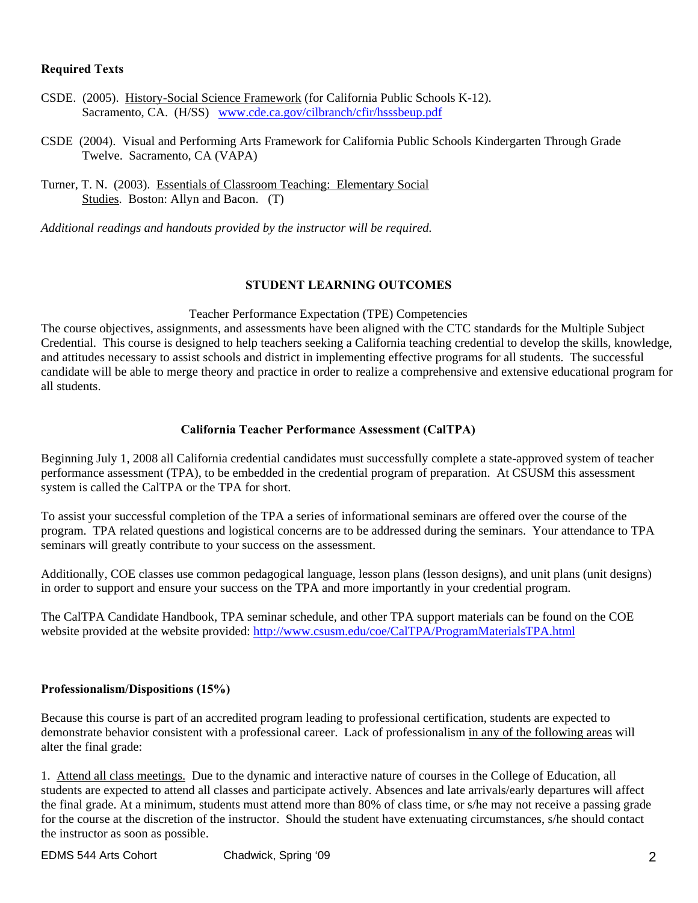# **Required Texts**

- CSDE. (2005). History-Social Science Framework (for California Public Schools K-12). Sacramento, CA. (H/SS) www.cde.ca.gov/cilbranch/cfir/hsssbeup.pdf
- CSDE (2004). Visual and Performing Arts Framework for California Public Schools Kindergarten Through Grade Twelve. Sacramento, CA (VAPA)
- Turner, T. N. (2003). Essentials of Classroom Teaching: Elementary Social Studies. Boston: Allyn and Bacon. (T)

*Additional readings and handouts provided by the instructor will be required.* 

# **STUDENT LEARNING OUTCOMES**

# Teacher Performance Expectation (TPE) Competencies

The course objectives, assignments, and assessments have been aligned with the CTC standards for the Multiple Subject Credential. This course is designed to help teachers seeking a California teaching credential to develop the skills, knowledge, and attitudes necessary to assist schools and district in implementing effective programs for all students. The successful candidate will be able to merge theory and practice in order to realize a comprehensive and extensive educational program for all students.

# **California Teacher Performance Assessment (CalTPA)**

Beginning July 1, 2008 all California credential candidates must successfully complete a state-approved system of teacher performance assessment (TPA), to be embedded in the credential program of preparation. At CSUSM this assessment system is called the CalTPA or the TPA for short.

seminars will greatly contribute to your success on the assessment. To assist your successful completion of the TPA a series of informational seminars are offered over the course of the program. TPA related questions and logistical concerns are to be addressed during the seminars. Your attendance to TPA

Additionally, COE classes use common pedagogical language, lesson plans (lesson designs), and unit plans (unit designs) in order to support and ensure your success on the TPA and more importantly in your credential program.

The CalTPA Candidate Handbook, TPA seminar schedule, and other TPA support materials can be found on the COE website provided at the website provided: http://www.csusm.edu/coe/CalTPA/ProgramMaterialsTPA.html

# **Professionalism/Dispositions (15%)**

Because this course is part of an accredited program leading to professional certification, students are expected to demonstrate behavior consistent with a professional career. Lack of professionalism in any of the following areas will alter the final grade:

1. Attend all class meetings. Due to the dynamic and interactive nature of courses in the College of Education, all students are expected to attend all classes and participate actively. Absences and late arrivals/early departures will affect the final grade. At a minimum, students must attend more than 80% of class time, or s/he may not receive a passing grade for the course at the discretion of the instructor. Should the student have extenuating circumstances, s/he should contact the instructor as soon as possible.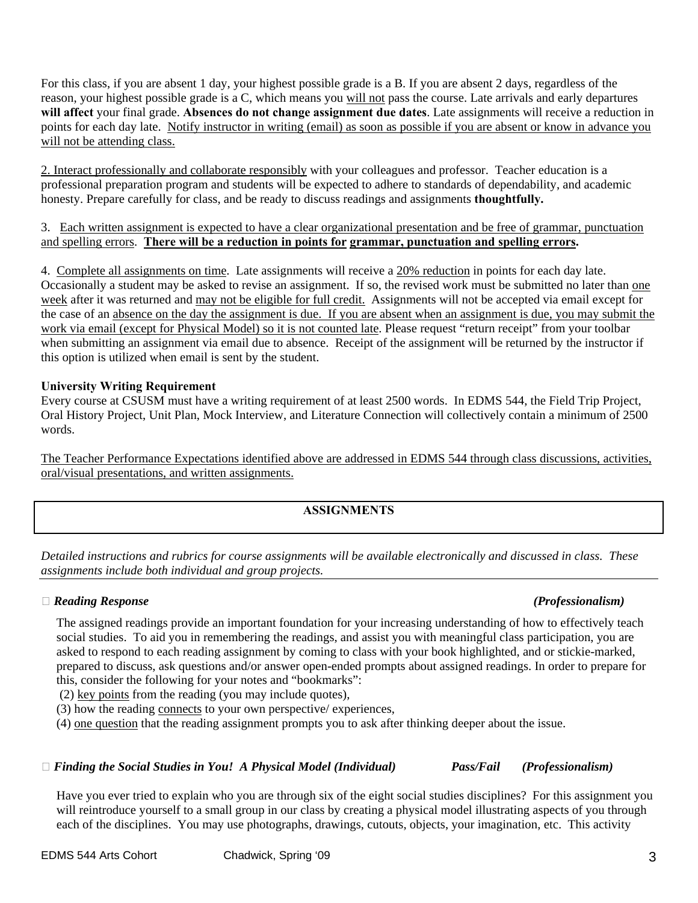For this class, if you are absent 1 day, your highest possible grade is a B. If you are absent 2 days, regardless of the reason, your highest possible grade is a C, which means you will not pass the course. Late arrivals and early departures **will affect** your final grade. **Absences do not change assignment due dates**. Late assignments will receive a reduction in points for each day late. Notify instructor in writing (email) as soon as possible if you are absent or know in advance you will not be attending class.

2. Interact professionally and collaborate responsibly with your colleagues and professor. Teacher education is a professional preparation program and students will be expected to adhere to standards of dependability, and academic honesty. Prepare carefully for class, and be ready to discuss readings and assignments **thoughtfully.** 

# 3. Each written assignment is expected to have a clear organizational presentation and be free of grammar, punctuation and spelling errors. **There will be a reduction in points for grammar, punctuation and spelling errors.**

week after it was returned and may not be eligible for full credit. Assignments will not be accepted via email except for 4. Complete all assignments on time. Late assignments will receive a 20% reduction in points for each day late. Occasionally a student may be asked to revise an assignment. If so, the revised work must be submitted no later than one the case of an absence on the day the assignment is due. If you are absent when an assignment is due, you may submit the work via email (except for Physical Model) so it is not counted late. Please request "return receipt" from your toolbar when submitting an assignment via email due to absence. Receipt of the assignment will be returned by the instructor if this option is utilized when email is sent by the student.

# **University Writing Requirement**

Every course at CSUSM must have a writing requirement of at least 2500 words. In EDMS 544, the Field Trip Project, Oral History Project, Unit Plan, Mock Interview, and Literature Connection will collectively contain a minimum of 2500 words.

The Teacher Performance Expectations identified above are addressed in EDMS 544 through class discussions, activities, oral/visual presentations, and written assignments.

# **ASSIGNMENTS**

*Detailed instructions and rubrics for course assignments will be available electronically and discussed in class. These assignments include both individual and group projects.* 

# **�** *Reading Response (Professionalism)*

The assigned readings provide an important foundation for your increasing understanding of how to effectively teach social studies. To aid you in remembering the readings, and assist you with meaningful class participation, you are asked to respond to each reading assignment by coming to class with your book highlighted, and or stickie-marked, prepared to discuss, ask questions and/or answer open-ended prompts about assigned readings. In order to prepare for this, consider the following for your notes and "bookmarks":

(2) key points from the reading (you may include quotes),

(3) how the reading connects to your own perspective/ experiences,

(4) one question that the reading assignment prompts you to ask after thinking deeper about the issue.

# **�** *Finding the Social Studies in You! A Physical Model (Individual) Pass/Fail (Professionalism)*

Have you ever tried to explain who you are through six of the eight social studies disciplines? For this assignment you will reintroduce yourself to a small group in our class by creating a physical model illustrating aspects of you through each of the disciplines. You may use photographs, drawings, cutouts, objects, your imagination, etc. This activity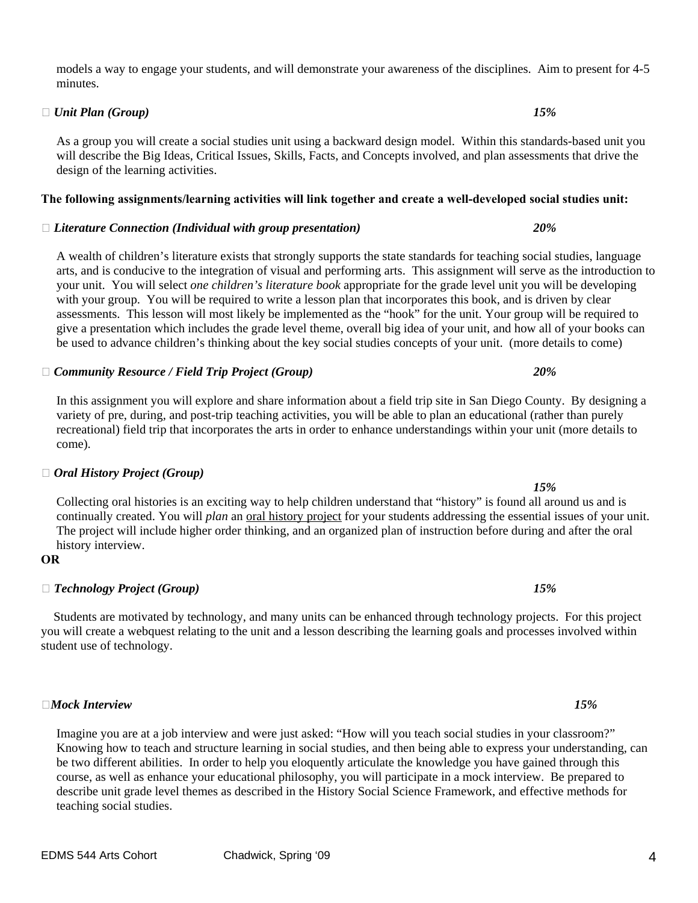## models a way to engage your students, and will demonstrate your awareness of the disciplines. Aim to present for 4-5 minutes.

# $\Box$  *Unit Plan (Group)*  $15\%$

As a group you will create a social studies unit using a backward design model. Within this standards-based unit you will describe the Big Ideas, Critical Issues, Skills, Facts, and Concepts involved, and plan assessments that drive the design of the learning activities.

# **The following assignments/learning activities will link together and create a well-developed social studies unit:**

# **�** *Literature Connection (Individual with group presentation) 20%*

A wealth of children's literature exists that strongly supports the state standards for teaching social studies, language arts, and is conducive to the integration of visual and performing arts. This assignment will serve as the introduction to your unit. You will select *one children's literature book* appropriate for the grade level unit you will be developing with your group. You will be required to write a lesson plan that incorporates this book, and is driven by clear assessments. This lesson will most likely be implemented as the "hook" for the unit. Your group will be required to give a presentation which includes the grade level theme, overall big idea of your unit, and how all of your books can be used to advance children's thinking about the key social studies concepts of your unit. (more details to come)

# In this assignment you will explore and share information about a field trip site in San Diego County. By designing a variety of pre, during, and post-trip teaching activities, you will be able to plan an educational (rather than purely recreational) field trip that incorporates the arts in order to enhance understandings within your unit (more details to come).

# *15%*  Collecting oral histories is an exciting way to help children understand that "history" is found all around us and is continually created. You will *plan* an oral history project for your students addressing the essential issues of your unit. The project will include higher order thinking, and an organized plan of instruction before during and after the oral history interview.

# 

# **OR �** *Technology Project (Group) 15%*

**�** *Oral History Project (Group)* 

 Students are motivated by technology, and many units can be enhanced through technology projects. For this project you will create a webquest relating to the unit and a lesson describing the learning goals and processes involved within student use of technology.

**�***Mock Interview 15%* 

Imagine you are at a job interview and were just asked: "How will you teach social studies in your classroom?"<br>Knowing how to teach and structure learning in social studies, and then being able to express your understandin be two different abilities. In order to help you eloquently articulate the knowledge you have gained through this course, as well as enhance your educational philosophy, you will participate in a mock interview. Be prepared to describe unit grade level themes as described in the History Social Science Framework, and effective methods for teaching social studies.

**�** *Community Resource / Field Trip Project (Group) 20%*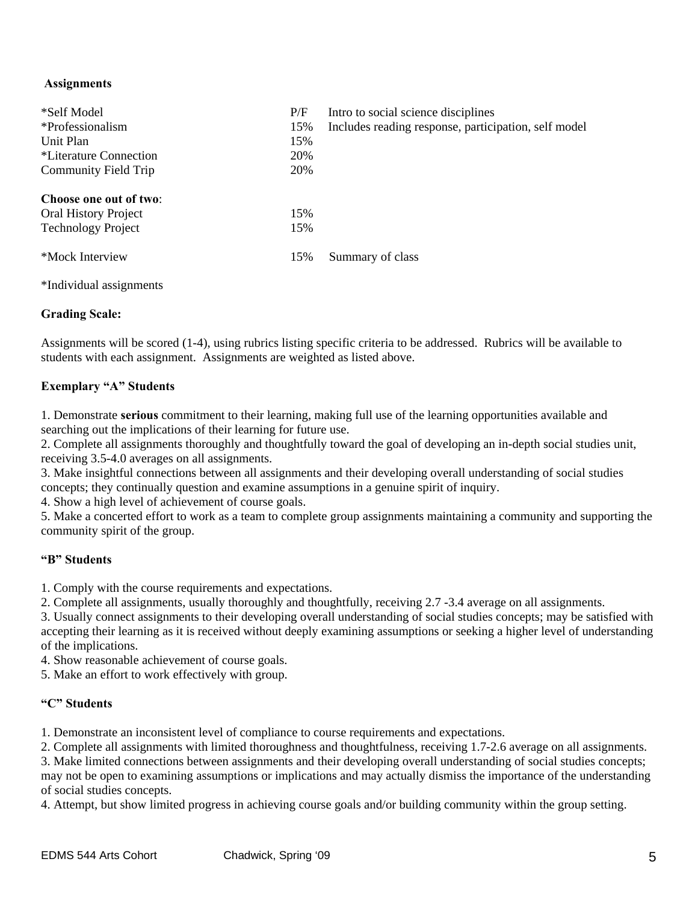# **Assignments**

| *Self Model<br>*Professionalism<br>Unit Plan<br>*Literature Connection<br>Community Field Trip | P/F<br>15%<br>15%<br>20%<br>20% | Intro to social science disciplines<br>Includes reading response, participation, self model |
|------------------------------------------------------------------------------------------------|---------------------------------|---------------------------------------------------------------------------------------------|
| Choose one out of two:<br><b>Oral History Project</b><br><b>Technology Project</b>             | 15%<br>15%                      |                                                                                             |
| *Mock Interview                                                                                | 15%                             | Summary of class                                                                            |

\*Individual assignments

# **Grading Scale:**

Assignments will be scored (1-4), using rubrics listing specific criteria to be addressed. Rubrics will be available to students with each assignment. Assignments are weighted as listed above.

# **Exemplary "A" Students**

1. Demonstrate **serious** commitment to their learning, making full use of the learning opportunities available and searching out the implications of their learning for future use.

2. Complete all assignments thoroughly and thoughtfully toward the goal of developing an in-depth social studies unit, receiving 3.5-4.0 averages on all assignments.

3. Make insightful connections between all assignments and their developing overall understanding of social studies concepts; they continually question and examine assumptions in a genuine spirit of inquiry.

4. Show a high level of achievement of course goals.

5. Make a concerted effort to work as a team to complete group assignments maintaining a community and supporting the community spirit of the group.

# **"B" Students**

1. Comply with the course requirements and expectations.

2. Complete all assignments, usually thoroughly and thoughtfully, receiving 2.7 -3.4 average on all assignments.

3. Usually connect assignments to their developing overall understanding of social studies concepts; may be satisfied with accepting their learning as it is received without deeply examining assumptions or seeking a higher level of understanding of the implications.

4. Show reasonable achievement of course goals.

5. Make an effort to work effectively with group.

# **"C" Students**

1. Demonstrate an inconsistent level of compliance to course requirements and expectations.

2. Complete all assignments with limited thoroughness and thoughtfulness, receiving 1.7-2.6 average on all assignments.

3. Make limited connections between assignments and their developing overall understanding of social studies concepts; may not be open to examining assumptions or implications and may actually dismiss the importance of the understanding of social studies concepts.

4. Attempt, but show limited progress in achieving course goals and/or building community within the group setting.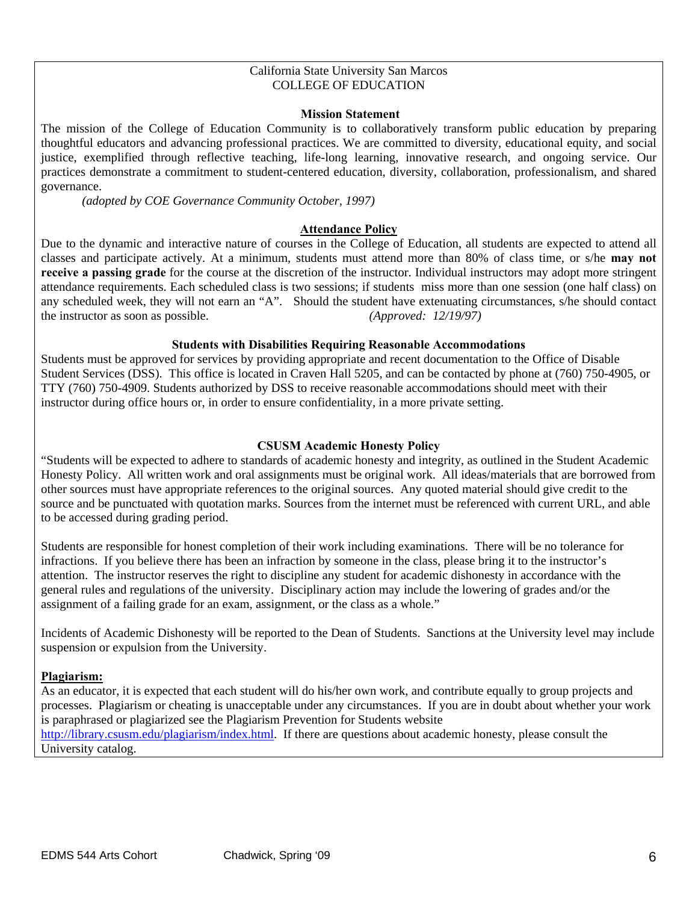## California State University San Marcos COLLEGE OF EDUCATION

## **Mission Statement**

The mission of the College of Education Community is to collaboratively transform public education by preparing thoughtful educators and advancing professional practices. We are committed to diversity, educational equity, and social justice, exemplified through reflective teaching, life-long learning, innovative research, and ongoing service. Our practices demonstrate a commitment to student-centered education, diversity, collaboration, professionalism, and shared governance.

*(adopted by COE Governance Community October, 1997)* 

# **Attendance Policy**

Due to the dynamic and interactive nature of courses in the College of Education, all students are expected to attend all classes and participate actively. At a minimum, students must attend more than 80% of class time, or s/he **may not receive a passing grade** for the course at the discretion of the instructor. Individual instructors may adopt more stringent attendance requirements. Each scheduled class is two sessions; if students miss more than one session (one half class) on any scheduled week, they will not earn an "A". Should the student have extenuating circumstances, s/he should contact the instructor as soon as possible. *(Approved: 12/19/97)* 

# **Students with Disabilities Requiring Reasonable Accommodations**

Students must be approved for services by providing appropriate and recent documentation to the Office of Disable Student Services (DSS). This office is located in Craven Hall 5205, and can be contacted by phone at (760) 750-4905, or TTY (760) 750-4909. Students authorized by DSS to receive reasonable accommodations should meet with their instructor during office hours or, in order to ensure confidentiality, in a more private setting.

# **CSUSM Academic Honesty Policy**

"Students will be expected to adhere to standards of academic honesty and integrity, as outlined in the Student Academic Honesty Policy. All written work and oral assignments must be original work. All ideas/materials that are borrowed from other sources must have appropriate references to the original sources. Any quoted material should give credit to the source and be punctuated with quotation marks. Sources from the internet must be referenced with current URL, and able to be accessed during grading period.

Students are responsible for honest completion of their work including examinations. There will be no tolerance for infractions. If you believe there has been an infraction by someone in the class, please bring it to the instructor's attention. The instructor reserves the right to discipline any student for academic dishonesty in accordance with the general rules and regulations of the university. Disciplinary action may include the lowering of grades and/or the assignment of a failing grade for an exam, assignment, or the class as a whole."

Incidents of Academic Dishonesty will be reported to the Dean of Students. Sanctions at the University level may include suspension or expulsion from the University.

# **Plagiarism:**

As an educator, it is expected that each student will do his/her own work, and contribute equally to group projects and processes. Plagiarism or cheating is unacceptable under any circumstances. If you are in doubt about whether your work is paraphrased or plagiarized see the Plagiarism Prevention for Students website http://library.csusm.edu/plagiarism/index.html. If there are questions about academic honesty, please consult the University catalog.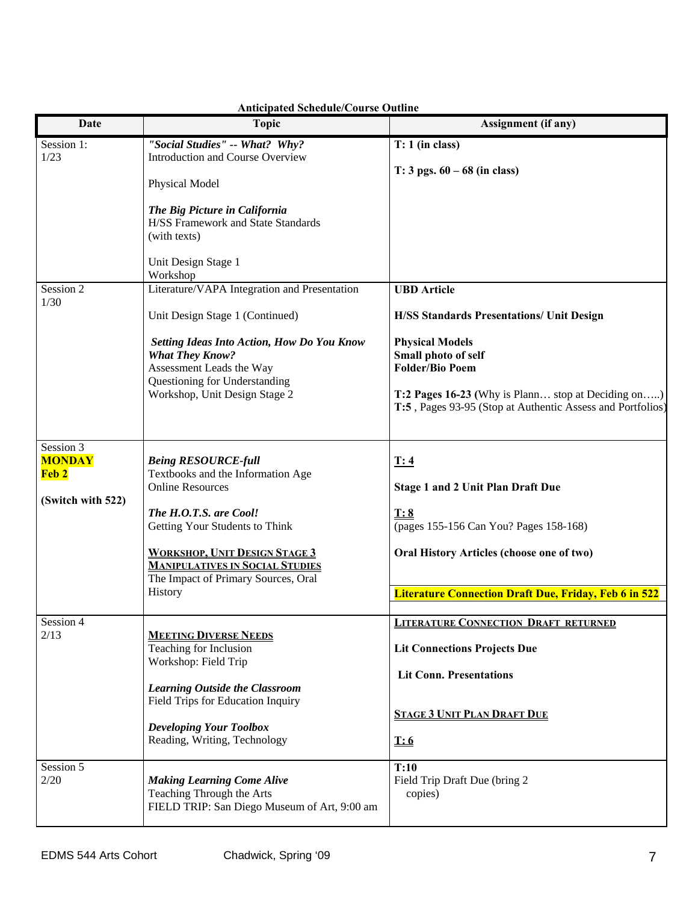| Date                                                                                                                                                                                                                                   | <b>Topic</b>                                                                                                          | Assignment (if any)                                                                                              |
|----------------------------------------------------------------------------------------------------------------------------------------------------------------------------------------------------------------------------------------|-----------------------------------------------------------------------------------------------------------------------|------------------------------------------------------------------------------------------------------------------|
| Session 1:<br>1/23                                                                                                                                                                                                                     | "Social Studies" -- What? Why?<br><b>Introduction and Course Overview</b>                                             | $T: 1$ (in class)<br>$T: 3$ pgs. $60 - 68$ (in class)                                                            |
|                                                                                                                                                                                                                                        | Physical Model                                                                                                        |                                                                                                                  |
|                                                                                                                                                                                                                                        | The Big Picture in California<br><b>H/SS Framework and State Standards</b><br>(with texts)                            |                                                                                                                  |
|                                                                                                                                                                                                                                        | Unit Design Stage 1<br>Workshop                                                                                       |                                                                                                                  |
| Session 2<br>1/30                                                                                                                                                                                                                      | Literature/VAPA Integration and Presentation                                                                          | <b>UBD</b> Article                                                                                               |
| Unit Design Stage 1 (Continued)<br><b>What They Know?</b><br>Assessment Leads the Way<br>Questioning for Understanding<br>Workshop, Unit Design Stage 2                                                                                |                                                                                                                       | <b>H/SS Standards Presentations/ Unit Design</b>                                                                 |
|                                                                                                                                                                                                                                        | <b>Setting Ideas Into Action, How Do You Know</b>                                                                     | <b>Physical Models</b><br>Small photo of self<br><b>Folder/Bio Poem</b>                                          |
|                                                                                                                                                                                                                                        |                                                                                                                       | T:2 Pages 16-23 (Why is Plann stop at Deciding on)<br>T:5, Pages 93-95 (Stop at Authentic Assess and Portfolios) |
| Session 3<br><b>MONDAY</b>                                                                                                                                                                                                             | <b>Being RESOURCE-full</b>                                                                                            | I:4                                                                                                              |
| Feb 2                                                                                                                                                                                                                                  | Textbooks and the Information Age<br><b>Online Resources</b>                                                          | <b>Stage 1 and 2 Unit Plan Draft Due</b>                                                                         |
| (Switch with 522)<br>The H.O.T.S. are Cool!<br>Getting Your Students to Think                                                                                                                                                          | T: 8<br>(pages 155-156 Can You? Pages 158-168)                                                                        |                                                                                                                  |
|                                                                                                                                                                                                                                        | <b>WORKSHOP, UNIT DESIGN STAGE 3</b><br><b>MANIPULATIVES IN SOCIAL STUDIES</b><br>The Impact of Primary Sources, Oral | Oral History Articles (choose one of two)                                                                        |
| History                                                                                                                                                                                                                                |                                                                                                                       | <b>Literature Connection Draft Due, Friday, Feb 6 in 522</b>                                                     |
| Session 4                                                                                                                                                                                                                              |                                                                                                                       | <b>LITERATURE CONNECTION DRAFT RETURNED</b>                                                                      |
| 2/13<br><b>MEETING DIVERSE NEEDS</b><br>Teaching for Inclusion<br>Workshop: Field Trip<br><b>Learning Outside the Classroom</b><br>Field Trips for Education Inquiry<br><b>Developing Your Toolbox</b><br>Reading, Writing, Technology |                                                                                                                       | <b>Lit Connections Projects Due</b>                                                                              |
|                                                                                                                                                                                                                                        |                                                                                                                       | <b>Lit Conn. Presentations</b>                                                                                   |
|                                                                                                                                                                                                                                        |                                                                                                                       | <b>STAGE 3 UNIT PLAN DRAFT DUE</b>                                                                               |
|                                                                                                                                                                                                                                        |                                                                                                                       | <u>T:6</u>                                                                                                       |
| Session 5<br>2/20                                                                                                                                                                                                                      | <b>Making Learning Come Alive</b><br>Teaching Through the Arts<br>FIELD TRIP: San Diego Museum of Art, 9:00 am        | T:10<br>Field Trip Draft Due (bring 2<br>copies)                                                                 |

# **Anticipated Schedule/Course Outline**